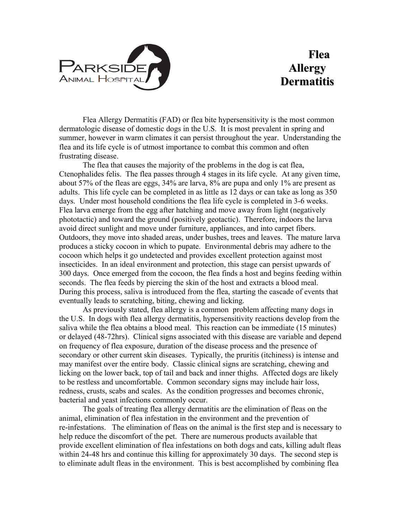

## **Flea Allergy Dermatitis**

Flea Allergy Dermatitis (FAD) or flea bite hypersensitivity is the most common dermatologic disease of domestic dogs in the U.S. It is most prevalent in spring and summer, however in warm climates it can persist throughout the year. Understanding the flea and its life cycle is of utmost importance to combat this common and often frustrating disease.

The flea that causes the majority of the problems in the dog is cat flea, Ctenophalides felis. The flea passes through 4 stages in its life cycle. At any given time, about 57% of the fleas are eggs, 34% are larva, 8% are pupa and only 1% are present as adults. This life cycle can be completed in as little as 12 days or can take as long as 350 days. Under most household conditions the flea life cycle is completed in 3-6 weeks. Flea larva emerge from the egg after hatching and move away from light (negatively phototactic) and toward the ground (positively geotactic). Therefore, indoors the larva avoid direct sunlight and move under furniture, appliances, and into carpet fibers. Outdoors, they move into shaded areas, under bushes, trees and leaves. The mature larva produces a sticky cocoon in which to pupate. Environmental debris may adhere to the cocoon which helps it go undetected and provides excellent protection against most insecticides. In an ideal environment and protection, this stage can persist upwards of 300 days. Once emerged from the cocoon, the flea finds a host and begins feeding within seconds. The flea feeds by piercing the skin of the host and extracts a blood meal. During this process, saliva is introduced from the flea, starting the cascade of events that eventually leads to scratching, biting, chewing and licking.

As previously stated, flea allergy is a common problem affecting many dogs in the U.S. In dogs with flea allergy dermatitis, hypersensitivity reactions develop from the saliva while the flea obtains a blood meal. This reaction can be immediate (15 minutes) or delayed (48-72hrs). Clinical signs associated with this disease are variable and depend on frequency of flea exposure, duration of the disease process and the presence of secondary or other current skin diseases. Typically, the pruritis (itchiness) is intense and may manifest over the entire body. Classic clinical signs are scratching, chewing and licking on the lower back, top of tail and back and inner thighs. Affected dogs are likely to be restless and uncomfortable. Common secondary signs may include hair loss, redness, crusts, scabs and scales. As the condition progresses and becomes chronic, bacterial and yeast infections commonly occur.

The goals of treating flea allergy dermatitis are the elimination of fleas on the animal, elimination of flea infestation in the environment and the prevention of re-infestations. The elimination of fleas on the animal is the first step and is necessary to help reduce the discomfort of the pet. There are numerous products available that provide excellent elimination of flea infestations on both dogs and cats, killing adult fleas within 24-48 hrs and continue this killing for approximately 30 days. The second step is to eliminate adult fleas in the environment. This is best accomplished by combining flea